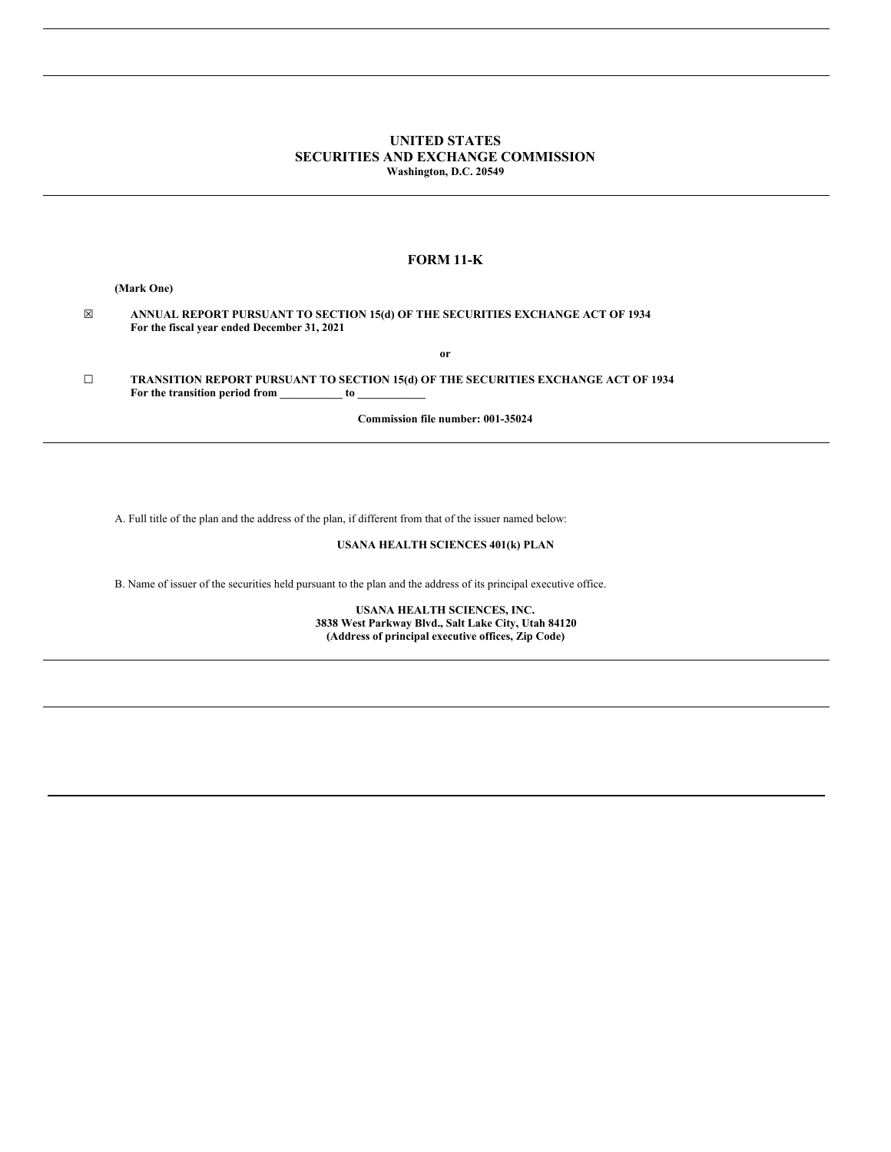# **UNITED STATES SECURITIES AND EXCHANGE COMMISSION Washington, D.C. 20549**

## **FORM 11-K**

**(Mark One)**

☒ **ANNUAL REPORT PURSUANT TO SECTION 15(d) OF THE SECURITIES EXCHANGE ACT OF 1934 For the fiscal year ended December 31, 2021**

**or**

☐ **TRANSITION REPORT PURSUANT TO SECTION 15(d) OF THE SECURITIES EXCHANGE ACT OF 1934 For the transition period from \_\_\_\_\_\_\_\_\_\_\_ to \_\_\_\_\_\_\_\_\_\_\_\_**

**Commission file number: 001-35024**

A. Full title of the plan and the address of the plan, if different from that of the issuer named below:

# **USANA HEALTH SCIENCES 401(k) PLAN**

B. Name of issuer of the securities held pursuant to the plan and the address of its principal executive office.

**USANA HEALTH SCIENCES, INC. 3838 West Parkway Blvd., Salt Lake City, Utah 84120 (Address of principal executive offices, Zip Code)**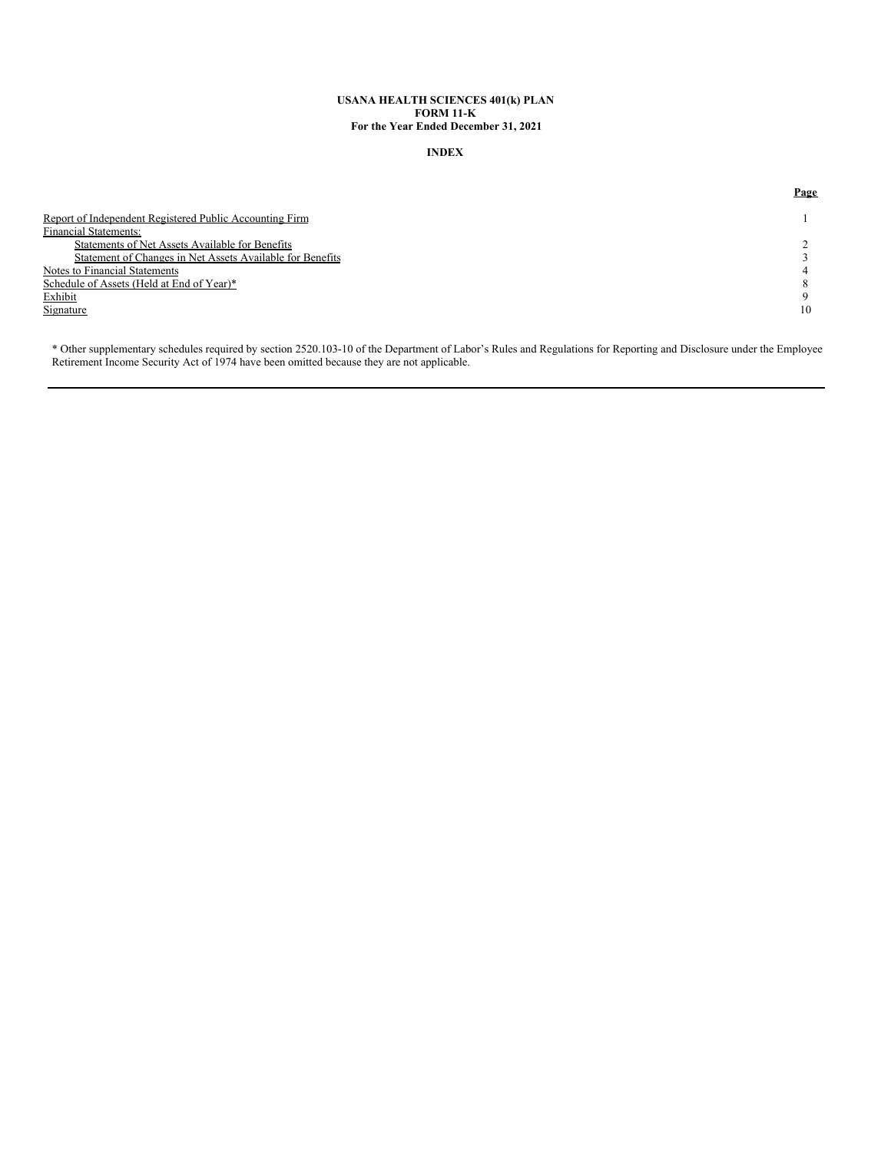#### **USANA HEALTH SCIENCES 401(k) PLAN FORM 11-K For the Year Ended December 31, 2021**

## **INDEX**

|                                                           | Page |
|-----------------------------------------------------------|------|
| Report of Independent Registered Public Accounting Firm   |      |
| <b>Financial Statements:</b>                              |      |
| Statements of Net Assets Available for Benefits           |      |
| Statement of Changes in Net Assets Available for Benefits |      |
| Notes to Financial Statements                             |      |
| Schedule of Assets (Held at End of Year)*                 |      |
| Exhibit                                                   |      |
| Signature                                                 | 10   |

\* Other supplementary schedules required by section 2520.103-10 of the Department of Labor's Rules and Regulations for Reporting and Disclosure under the Employee Retirement Income Security Act of 1974 have been omitted because they are not applicable.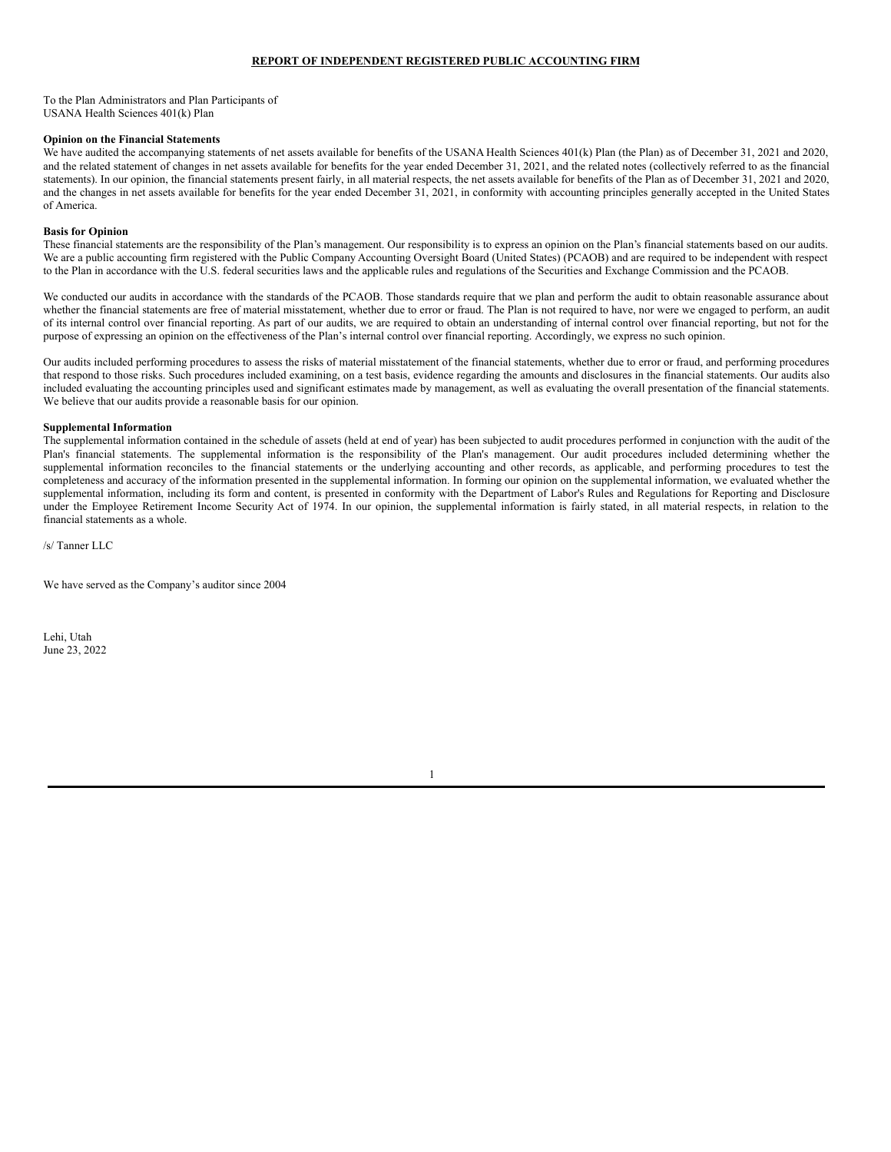### **REPORT OF INDEPENDENT REGISTERED PUBLIC ACCOUNTING FIRM**

To the Plan Administrators and Plan Participants of USANA Health Sciences 401(k) Plan

#### **Opinion on the Financial Statements**

We have audited the accompanying statements of net assets available for benefits of the USANA Health Sciences 401(k) Plan (the Plan) as of December 31, 2021 and 2020, and the related statement of changes in net assets available for benefits for the year ended December 31, 2021, and the related notes (collectively referred to as the financial statements). In our opinion, the financial statements present fairly, in all material respects, the net assets available for benefits of the Plan as of December 31, 2021 and 2020, and the changes in net assets available for benefits for the year ended December 31, 2021, in conformity with accounting principles generally accepted in the United States of America.

### **Basis for Opinion**

These financial statements are the responsibility of the Plan's management. Our responsibility is to express an opinion on the Plan's financial statements based on our audits. We are a public accounting firm registered with the Public Company Accounting Oversight Board (United States) (PCAOB) and are required to be independent with respect to the Plan in accordance with the U.S. federal securities laws and the applicable rules and regulations of the Securities and Exchange Commission and the PCAOB.

We conducted our audits in accordance with the standards of the PCAOB. Those standards require that we plan and perform the audit to obtain reasonable assurance about whether the financial statements are free of material misstatement, whether due to error or fraud. The Plan is not required to have, nor were we engaged to perform, an audit of its internal control over financial reporting. As part of our audits, we are required to obtain an understanding of internal control over financial reporting, but not for the purpose of expressing an opinion on the effectiveness of the Plan's internal control over financial reporting. Accordingly, we express no such opinion.

Our audits included performing procedures to assess the risks of material misstatement of the financial statements, whether due to error or fraud, and performing procedures that respond to those risks. Such procedures included examining, on a test basis, evidence regarding the amounts and disclosures in the financial statements. Our audits also included evaluating the accounting principles used and significant estimates made by management, as well as evaluating the overall presentation of the financial statements. We believe that our audits provide a reasonable basis for our opinion.

## **Supplemental Information**

The supplemental information contained in the schedule of assets (held at end of year) has been subjected to audit procedures performed in conjunction with the audit of the Plan's financial statements. The supplemental information is the responsibility of the Plan's management. Our audit procedures included determining whether the supplemental information reconciles to the financial statements or the underlying accounting and other records, as applicable, and performing procedures to test the completeness and accuracy of the information presented in the supplemental information. In forming our opinion on the supplemental information, we evaluated whether the supplemental information, including its form and content, is presented in conformity with the Department of Labor's Rules and Regulations for Reporting and Disclosure under the Employee Retirement Income Security Act of 1974. In our opinion, the supplemental information is fairly stated, in all material respects, in relation to the financial statements as a whole.

/s/ Tanner LLC

We have served as the Company's auditor since 2004

Lehi, Utah June 23, 2022

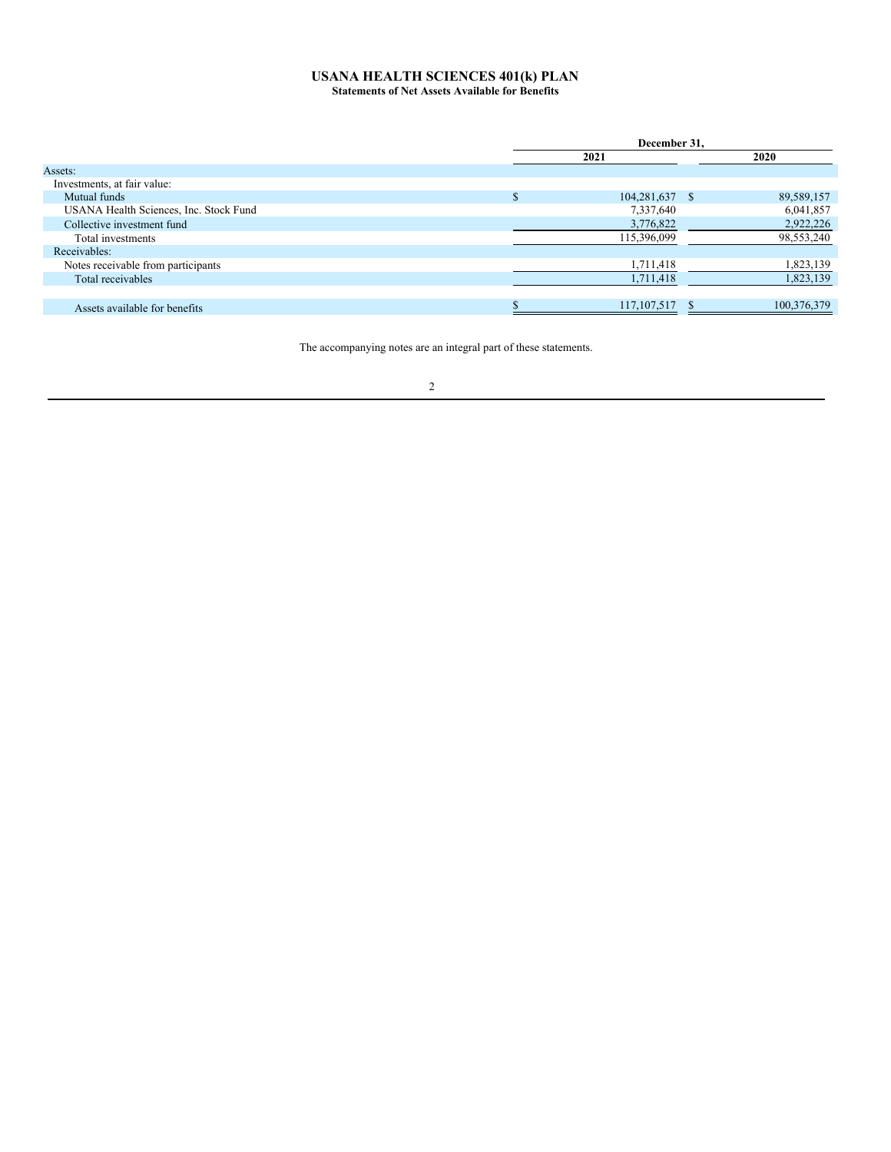## **USANA HEALTH SCIENCES 401(k) PLAN Statements of Net Assets Available for Benefits**

|                                        | December 31. |                |  |             |
|----------------------------------------|--------------|----------------|--|-------------|
|                                        | 2021         |                |  | 2020        |
| Assets:                                |              |                |  |             |
| Investments, at fair value:            |              |                |  |             |
| Mutual funds                           |              | 104,281,637 \$ |  | 89,589,157  |
| USANA Health Sciences, Inc. Stock Fund |              | 7,337,640      |  | 6,041,857   |
| Collective investment fund             |              | 3,776,822      |  | 2,922,226   |
| Total investments                      |              | 115,396,099    |  | 98,553,240  |
| Receivables:                           |              |                |  |             |
| Notes receivable from participants     |              | 1,711,418      |  | 1,823,139   |
| Total receivables                      |              | 1,711,418      |  | 1,823,139   |
|                                        |              |                |  |             |
| Assets available for benefits          |              | 117, 107, 517  |  | 100,376,379 |

The accompanying notes are an integral part of these statements.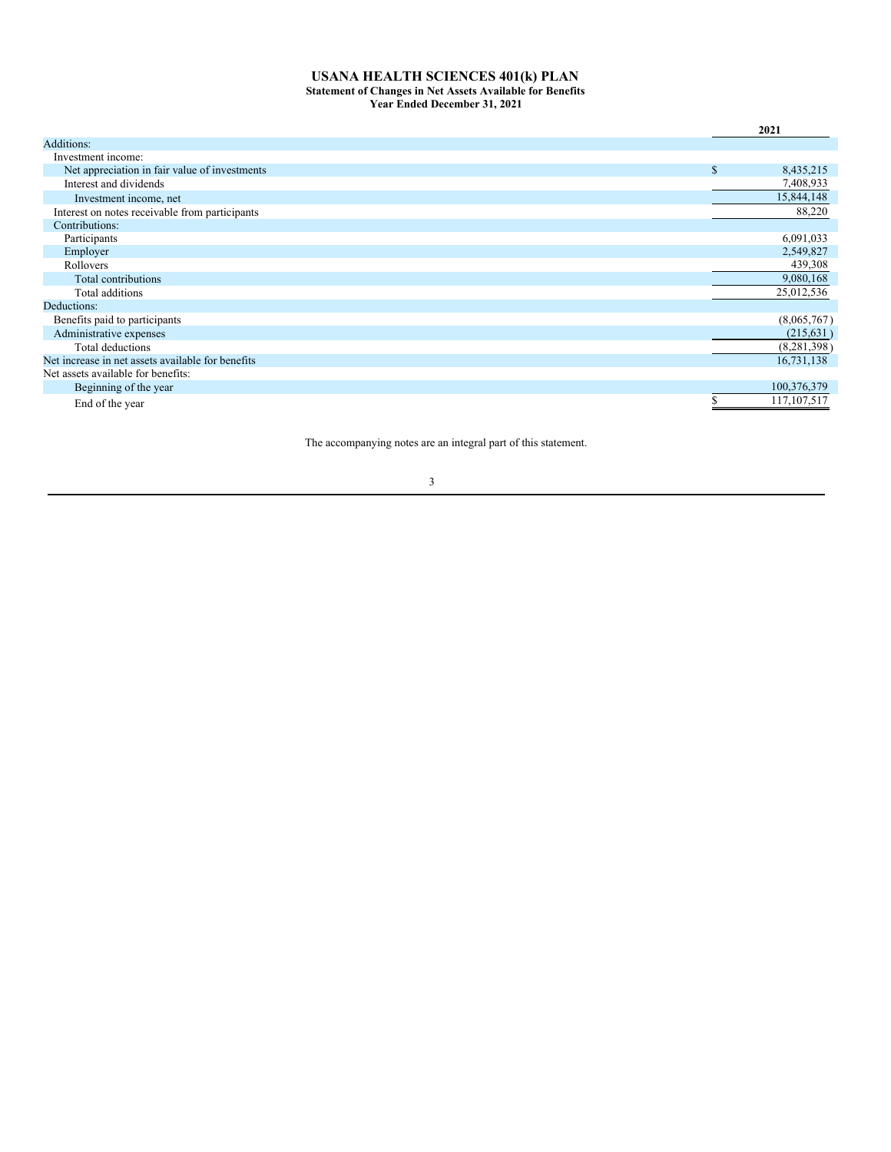## **USANA HEALTH SCIENCES 401(k) PLAN Statement of Changes in Net Assets Available for Benefits Year Ended December 31, 2021**

|                                                   | 2021            |
|---------------------------------------------------|-----------------|
| Additions:                                        |                 |
| Investment income:                                |                 |
| Net appreciation in fair value of investments     | \$<br>8,435,215 |
| Interest and dividends                            | 7,408,933       |
| Investment income, net                            | 15,844,148      |
| Interest on notes receivable from participants    | 88,220          |
| Contributions:                                    |                 |
| Participants                                      | 6,091,033       |
| Employer                                          | 2,549,827       |
| Rollovers                                         | 439,308         |
| Total contributions                               | 9,080,168       |
| Total additions                                   | 25,012,536      |
| Deductions:                                       |                 |
| Benefits paid to participants                     | (8,065,767)     |
| Administrative expenses                           | (215, 631)      |
| Total deductions                                  | (8, 281, 398)   |
| Net increase in net assets available for benefits | 16,731,138      |
| Net assets available for benefits:                |                 |
| Beginning of the year                             | 100,376,379     |
| End of the year                                   | 117, 107, 517   |

The accompanying notes are an integral part of this statement.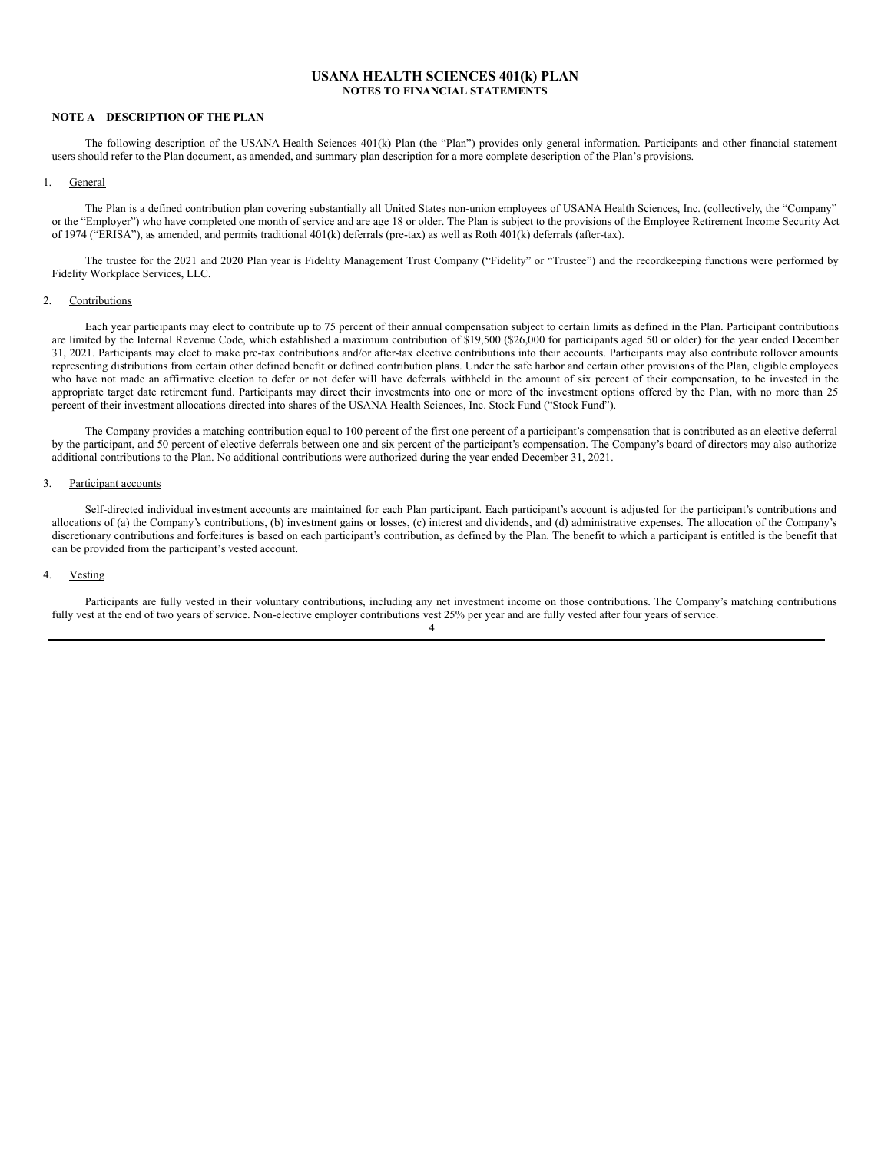### **USANA HEALTH SCIENCES 401(k) PLAN NOTES TO FINANCIAL STATEMENTS**

### **NOTE A** – **DESCRIPTION OF THE PLAN**

The following description of the USANA Health Sciences 401(k) Plan (the "Plan") provides only general information. Participants and other financial statement users should refer to the Plan document, as amended, and summary plan description for a more complete description of the Plan's provisions.

#### 1. General

The Plan is a defined contribution plan covering substantially all United States non-union employees of USANA Health Sciences, Inc. (collectively, the "Company" or the "Employer") who have completed one month of service and are age 18 or older. The Plan is subject to the provisions of the Employee Retirement Income Security Act of 1974 ("ERISA"), as amended, and permits traditional 401(k) deferrals (pre-tax) as well as Roth 401(k) deferrals (after-tax).

The trustee for the 2021 and 2020 Plan year is Fidelity Management Trust Company ("Fidelity" or "Trustee") and the recordkeeping functions were performed by Fidelity Workplace Services, LLC.

#### 2. Contributions

Each year participants may elect to contribute up to 75 percent of their annual compensation subject to certain limits as defined in the Plan. Participant contributions are limited by the Internal Revenue Code, which established a maximum contribution of \$19,500 (\$26,000 for participants aged 50 or older) for the year ended December 31, 2021. Participants may elect to make pre-tax contributions and/or after-tax elective contributions into their accounts. Participants may also contribute rollover amounts representing distributions from certain other defined benefit or defined contribution plans. Under the safe harbor and certain other provisions of the Plan, eligible employees who have not made an affirmative election to defer or not defer will have deferrals withheld in the amount of six percent of their compensation, to be invested in the appropriate target date retirement fund. Participants may direct their investments into one or more of the investment options offered by the Plan, with no more than 25 percent of their investment allocations directed into shares of the USANA Health Sciences, Inc. Stock Fund ("Stock Fund").

The Company provides a matching contribution equal to 100 percent of the first one percent of a participant's compensation that is contributed as an elective deferral by the participant, and 50 percent of elective deferrals between one and six percent of the participant's compensation. The Company's board of directors may also authorize additional contributions to the Plan. No additional contributions were authorized during the year ended December 31, 2021.

#### 3. Participant accounts

Self-directed individual investment accounts are maintained for each Plan participant. Each participant's account is adjusted for the participant's contributions and allocations of (a) the Company's contributions, (b) investment gains or losses, (c) interest and dividends, and (d) administrative expenses. The allocation of the Company's discretionary contributions and forfeitures is based on each participant's contribution, as defined by the Plan. The benefit to which a participant is entitled is the benefit that can be provided from the participant's vested account.

#### 4. Vesting

Participants are fully vested in their voluntary contributions, including any net investment income on those contributions. The Company's matching contributions fully vest at the end of two years of service. Non-elective employer contributions vest 25% per year and are fully vested after four years of service.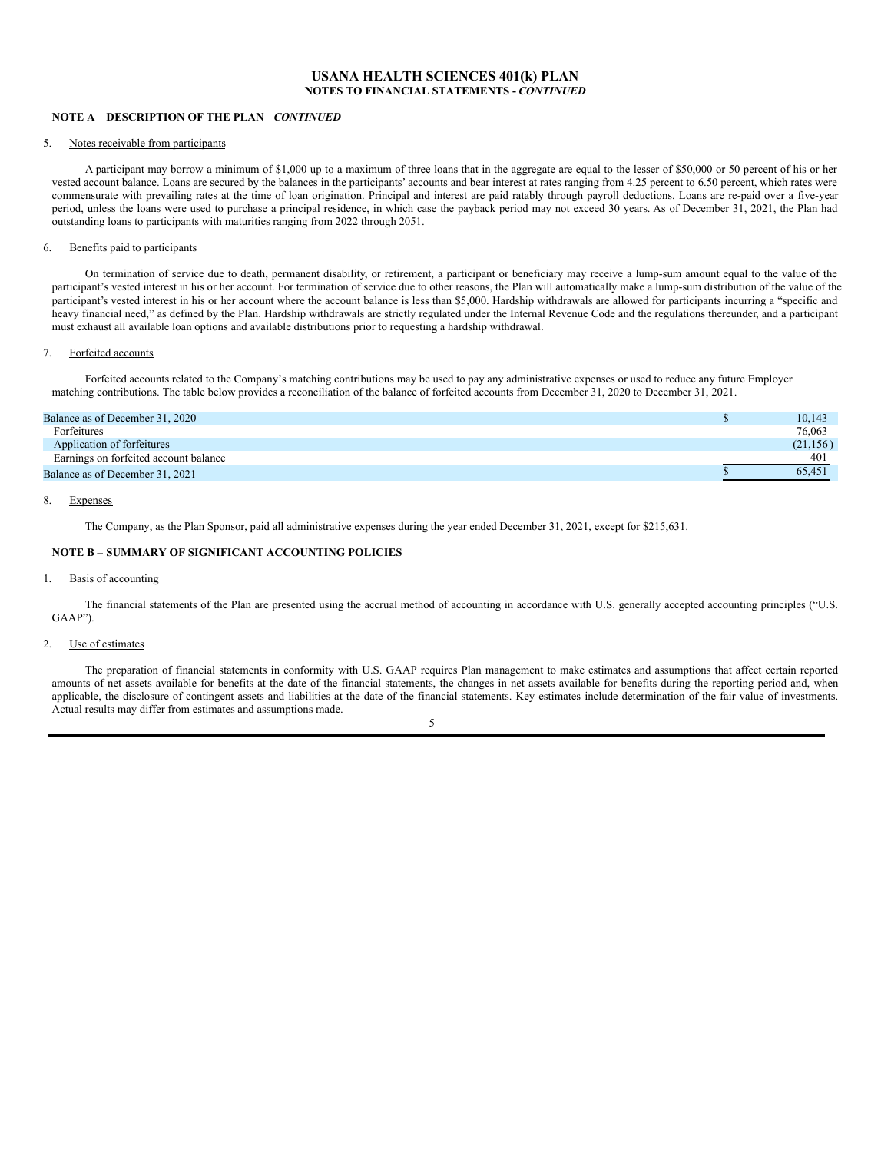## **USANA HEALTH SCIENCES 401(k) PLAN NOTES TO FINANCIAL STATEMENTS -** *CONTINUED*

### **NOTE A** – **DESCRIPTION OF THE PLAN**– *CONTINUED*

#### 5. Notes receivable from participants

A participant may borrow a minimum of \$1,000 up to a maximum of three loans that in the aggregate are equal to the lesser of \$50,000 or 50 percent of his or her vested account balance. Loans are secured by the balances in the participants' accounts and bear interest at rates ranging from 4.25 percent to 6.50 percent, which rates were commensurate with prevailing rates at the time of loan origination. Principal and interest are paid ratably through payroll deductions. Loans are re-paid over a five-year period, unless the loans were used to purchase a principal residence, in which case the payback period may not exceed 30 years. As of December 31, 2021, the Plan had outstanding loans to participants with maturities ranging from 2022 through 2051.

#### 6. Benefits paid to participants

On termination of service due to death, permanent disability, or retirement, a participant or beneficiary may receive a lump-sum amount equal to the value of the participant's vested interest in his or her account. For termination of service due to other reasons, the Plan will automatically make a lump-sum distribution of the value of the participant's vested interest in his or her account where the account balance is less than \$5,000. Hardship withdrawals are allowed for participants incurring a "specific and heavy financial need," as defined by the Plan. Hardship withdrawals are strictly regulated under the Internal Revenue Code and the regulations thereunder, and a participant must exhaust all available loan options and available distributions prior to requesting a hardship withdrawal.

#### 7. Forfeited accounts

Forfeited accounts related to the Company's matching contributions may be used to pay any administrative expenses or used to reduce any future Employer matching contributions. The table below provides a reconciliation of the balance of forfeited accounts from December 31, 2020 to December 31, 2021.

| Balance as of December 31, 2020       | 10.143       |
|---------------------------------------|--------------|
| <b>Forfeitures</b>                    | 76,063       |
| Application of forfeitures            | (21, 156)    |
| Earnings on forfeited account balance | $40^{\circ}$ |
| Balance as of December 31, 2021       | 65.451       |

### 8. Expenses

The Company, as the Plan Sponsor, paid all administrative expenses during the year ended December 31, 2021, except for \$215,631.

### **NOTE B** – **SUMMARY OF SIGNIFICANT ACCOUNTING POLICIES**

### 1. Basis of accounting

The financial statements of the Plan are presented using the accrual method of accounting in accordance with U.S. generally accepted accounting principles ("U.S. GAAP").

#### 2. Use of estimates

The preparation of financial statements in conformity with U.S. GAAP requires Plan management to make estimates and assumptions that affect certain reported amounts of net assets available for benefits at the date of the financial statements, the changes in net assets available for benefits during the reporting period and, when applicable, the disclosure of contingent assets and liabilities at the date of the financial statements. Key estimates include determination of the fair value of investments. Actual results may differ from estimates and assumptions made.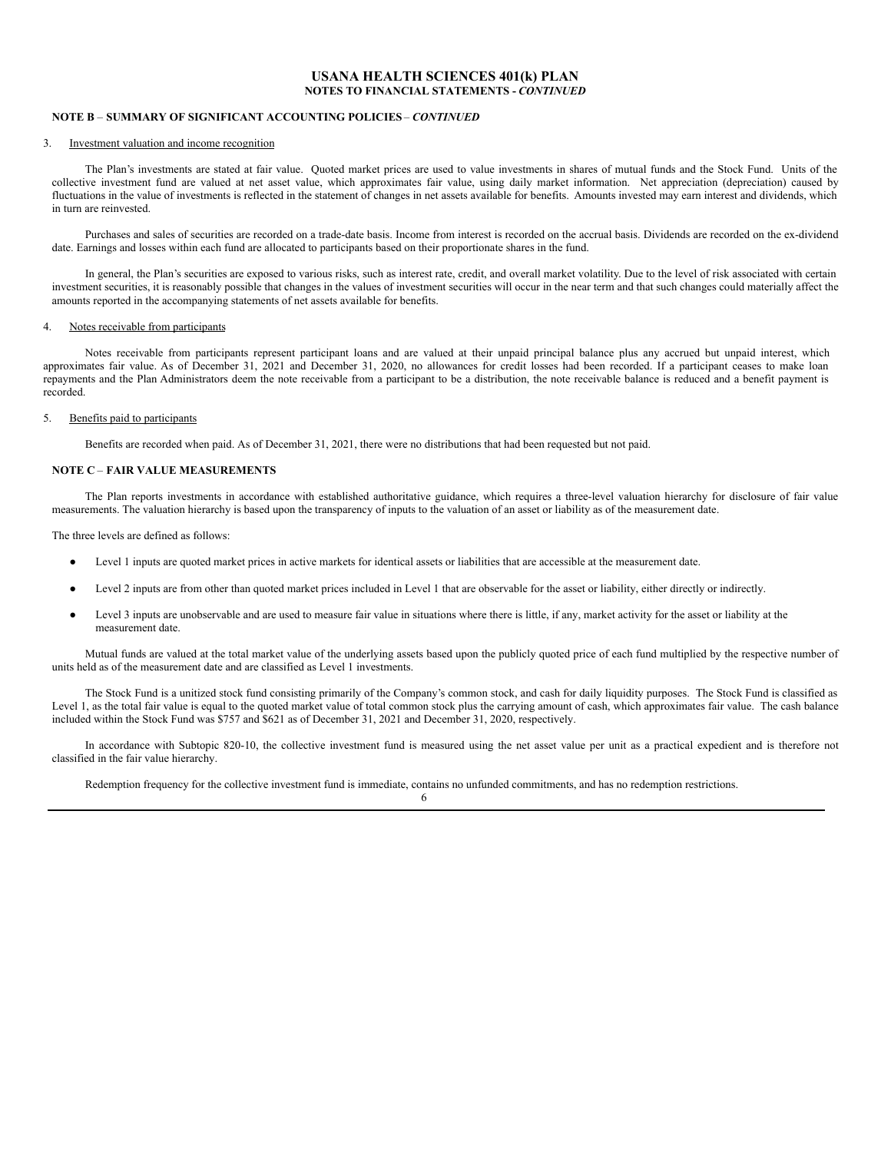## **USANA HEALTH SCIENCES 401(k) PLAN NOTES TO FINANCIAL STATEMENTS -** *CONTINUED*

## **NOTE B** – **SUMMARY OF SIGNIFICANT ACCOUNTING POLICIES** – *CONTINUED*

#### 3. Investment valuation and income recognition

The Plan's investments are stated at fair value. Quoted market prices are used to value investments in shares of mutual funds and the Stock Fund. Units of the collective investment fund are valued at net asset value, which approximates fair value, using daily market information. Net appreciation (depreciation) caused by fluctuations in the value of investments is reflected in the statement of changes in net assets available for benefits. Amounts invested may earn interest and dividends, which in turn are reinvested.

Purchases and sales of securities are recorded on a trade-date basis. Income from interest is recorded on the accrual basis. Dividends are recorded on the ex-dividend date. Earnings and losses within each fund are allocated to participants based on their proportionate shares in the fund.

In general, the Plan's securities are exposed to various risks, such as interest rate, credit, and overall market volatility. Due to the level of risk associated with certain investment securities, it is reasonably possible that changes in the values of investment securities will occur in the near term and that such changes could materially affect the amounts reported in the accompanying statements of net assets available for benefits.

### 4. Notes receivable from participants

Notes receivable from participants represent participant loans and are valued at their unpaid principal balance plus any accrued but unpaid interest, which approximates fair value. As of December 31, 2021 and December 31, 2020, no allowances for credit losses had been recorded. If a participant ceases to make loan repayments and the Plan Administrators deem the note receivable from a participant to be a distribution, the note receivable balance is reduced and a benefit payment is recorded.

#### 5. Benefits paid to participants

Benefits are recorded when paid. As of December 31, 2021, there were no distributions that had been requested but not paid.

#### **NOTE C** – **FAIR VALUE MEASUREMENTS**

The Plan reports investments in accordance with established authoritative guidance, which requires a three-level valuation hierarchy for disclosure of fair value measurements. The valuation hierarchy is based upon the transparency of inputs to the valuation of an asset or liability as of the measurement date.

The three levels are defined as follows:

- Level 1 inputs are quoted market prices in active markets for identical assets or liabilities that are accessible at the measurement date.
- Level 2 inputs are from other than quoted market prices included in Level 1 that are observable for the asset or liability, either directly or indirectly.
- Level 3 inputs are unobservable and are used to measure fair value in situations where there is little, if any, market activity for the asset or liability at the measurement date.

Mutual funds are valued at the total market value of the underlying assets based upon the publicly quoted price of each fund multiplied by the respective number of units held as of the measurement date and are classified as Level 1 investments.

The Stock Fund is a unitized stock fund consisting primarily of the Company's common stock, and cash for daily liquidity purposes. The Stock Fund is classified as Level 1, as the total fair value is equal to the quoted market value of total common stock plus the carrying amount of cash, which approximates fair value. The cash balance included within the Stock Fund was \$757 and \$621 as of December 31, 2021 and December 31, 2020, respectively.

In accordance with Subtopic 820-10, the collective investment fund is measured using the net asset value per unit as a practical expedient and is therefore not classified in the fair value hierarchy.

Redemption frequency for the collective investment fund is immediate, contains no unfunded commitments, and has no redemption restrictions.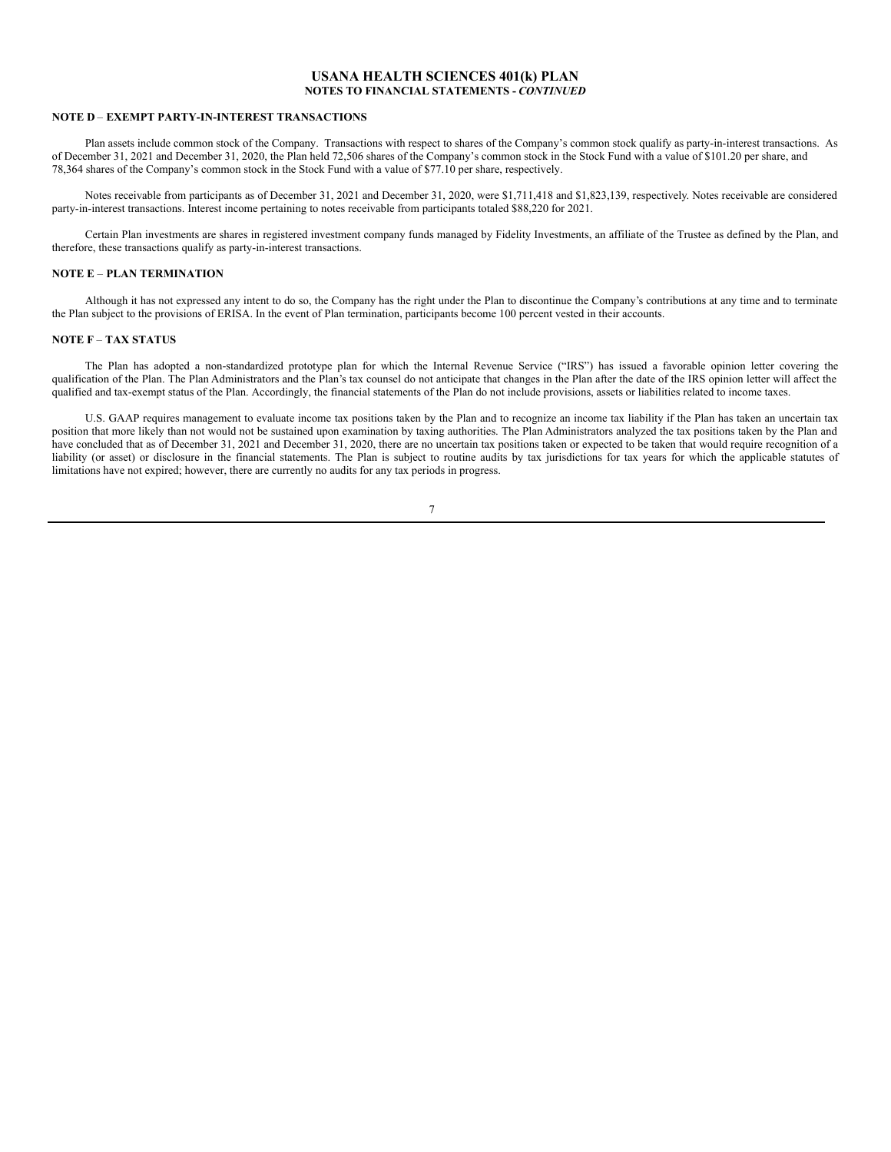#### **USANA HEALTH SCIENCES 401(k) PLAN NOTES TO FINANCIAL STATEMENTS -** *CONTINUED*

#### **NOTE D** – **EXEMPT PARTY-IN-INTEREST TRANSACTIONS**

Plan assets include common stock of the Company. Transactions with respect to shares of the Company's common stock qualify as party-in-interest transactions. As of December 31, 2021 and December 31, 2020, the Plan held 72,506 shares of the Company's common stock in the Stock Fund with a value of \$101.20 per share, and 78,364 shares of the Company's common stock in the Stock Fund with a value of \$77.10 per share, respectively.

Notes receivable from participants as of December 31, 2021 and December 31, 2020, were \$1,711,418 and \$1,823,139, respectively. Notes receivable are considered party-in-interest transactions. Interest income pertaining to notes receivable from participants totaled \$88,220 for 2021.

Certain Plan investments are shares in registered investment company funds managed by Fidelity Investments, an affiliate of the Trustee as defined by the Plan, and therefore, these transactions qualify as party-in-interest transactions.

## **NOTE E** – **PLAN TERMINATION**

Although it has not expressed any intent to do so, the Company has the right under the Plan to discontinue the Company's contributions at any time and to terminate the Plan subject to the provisions of ERISA. In the event of Plan termination, participants become 100 percent vested in their accounts.

### **NOTE F** – **TAX STATUS**

The Plan has adopted a non-standardized prototype plan for which the Internal Revenue Service ("IRS") has issued a favorable opinion letter covering the qualification of the Plan. The Plan Administrators and the Plan's tax counsel do not anticipate that changes in the Plan after the date of the IRS opinion letter will affect the qualified and tax-exempt status of the Plan. Accordingly, the financial statements of the Plan do not include provisions, assets or liabilities related to income taxes.

U.S. GAAP requires management to evaluate income tax positions taken by the Plan and to recognize an income tax liability if the Plan has taken an uncertain tax position that more likely than not would not be sustained upon examination by taxing authorities. The Plan Administrators analyzed the tax positions taken by the Plan and have concluded that as of December 31, 2021 and December 31, 2020, there are no uncertain tax positions taken or expected to be taken that would require recognition of a liability (or asset) or disclosure in the financial statements. The Plan is subject to routine audits by tax jurisdictions for tax years for which the applicable statutes of limitations have not expired; however, there are currently no audits for any tax periods in progress.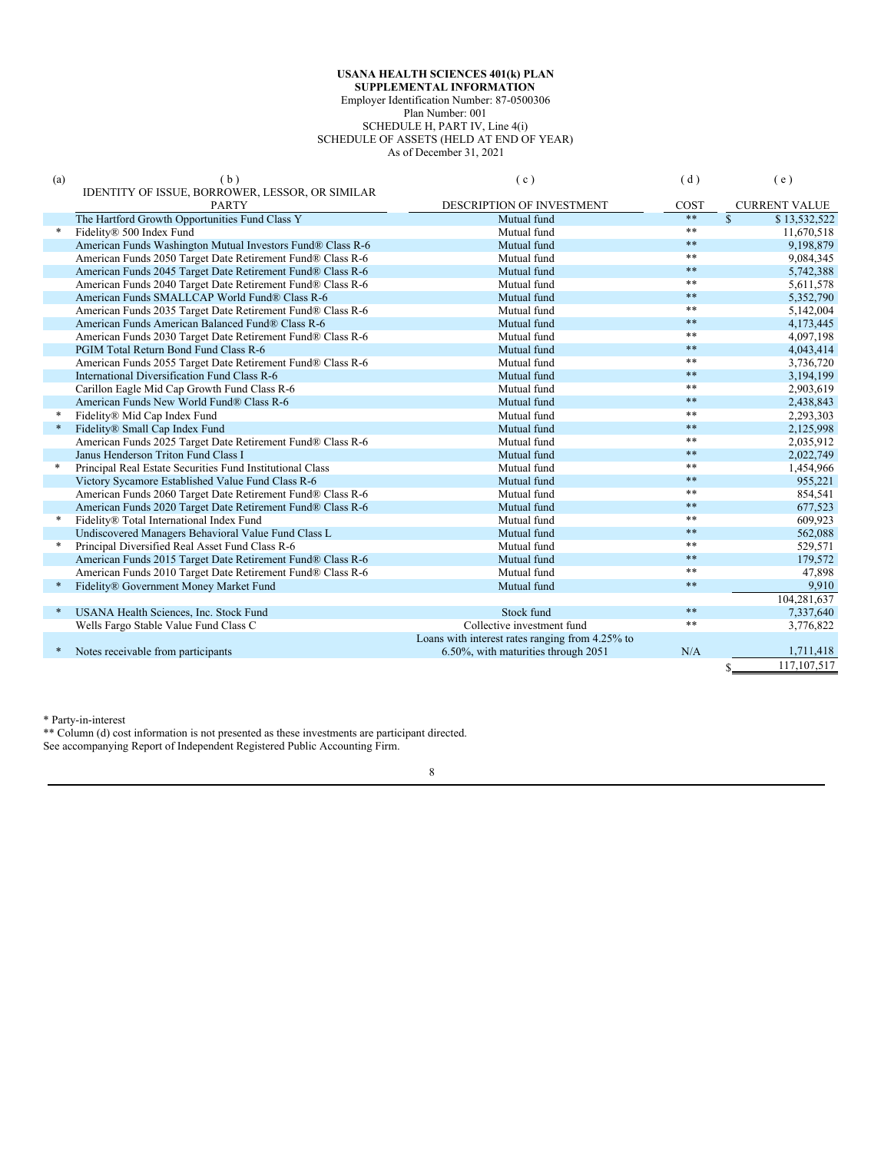## **USANA HEALTH SCIENCES 401(k) PLAN SUPPLEMENTAL INFORMATION**

#### Employer Identification Number: 87-0500306

Plan Number: 001

SCHEDULE H, PART IV, Line 4(i) SCHEDULE OF ASSETS (HELD AT END OF YEAR)

As of December 31, 2021

| (a)    | (b)                                                        | (c)                                             | (d)   | (e)                          |
|--------|------------------------------------------------------------|-------------------------------------------------|-------|------------------------------|
|        | IDENTITY OF ISSUE, BORROWER, LESSOR, OR SIMILAR            |                                                 |       |                              |
|        | <b>PARTY</b>                                               | DESCRIPTION OF INVESTMENT                       | COST  | <b>CURRENT VALUE</b>         |
|        | The Hartford Growth Opportunities Fund Class Y             | Mutual fund                                     | $***$ | $\mathbf{s}$<br>\$13,532,522 |
| $\ast$ | Fidelity® 500 Index Fund                                   | Mutual fund                                     | $***$ | 11,670,518                   |
|        | American Funds Washington Mutual Investors Fund® Class R-6 | Mutual fund                                     | **    | 9,198,879                    |
|        | American Funds 2050 Target Date Retirement Fund® Class R-6 | Mutual fund                                     | **    | 9,084,345                    |
|        | American Funds 2045 Target Date Retirement Fund® Class R-6 | Mutual fund                                     | **    | 5,742,388                    |
|        | American Funds 2040 Target Date Retirement Fund® Class R-6 | Mutual fund                                     | $***$ | 5,611,578                    |
|        | American Funds SMALLCAP World Fund® Class R-6              | Mutual fund                                     | $***$ | 5,352,790                    |
|        | American Funds 2035 Target Date Retirement Fund® Class R-6 | Mutual fund                                     | $***$ | 5,142,004                    |
|        | American Funds American Balanced Fund® Class R-6           | Mutual fund                                     | $***$ | 4,173,445                    |
|        | American Funds 2030 Target Date Retirement Fund® Class R-6 | Mutual fund                                     | **    | 4,097,198                    |
|        | PGIM Total Return Bond Fund Class R-6                      | Mutual fund                                     | **    | 4,043,414                    |
|        | American Funds 2055 Target Date Retirement Fund® Class R-6 | Mutual fund                                     | **    | 3,736,720                    |
|        | International Diversification Fund Class R-6               | Mutual fund                                     | $***$ | 3,194,199                    |
|        | Carillon Eagle Mid Cap Growth Fund Class R-6               | Mutual fund                                     | $***$ | 2,903,619                    |
|        | American Funds New World Fund® Class R-6                   | Mutual fund                                     | **    | 2,438,843                    |
|        | Fidelity® Mid Cap Index Fund                               | Mutual fund                                     | **    | 2,293,303                    |
| $\ast$ | Fidelity® Small Cap Index Fund                             | Mutual fund                                     | **    | 2,125,998                    |
|        | American Funds 2025 Target Date Retirement Fund® Class R-6 | Mutual fund                                     | **    | 2,035,912                    |
|        | Janus Henderson Triton Fund Class I                        | Mutual fund                                     | $***$ | 2,022,749                    |
|        | Principal Real Estate Securities Fund Institutional Class  | Mutual fund                                     | **    | 1,454,966                    |
|        | Victory Sycamore Established Value Fund Class R-6          | Mutual fund                                     | $***$ | 955,221                      |
|        | American Funds 2060 Target Date Retirement Fund® Class R-6 | Mutual fund                                     | **    | 854,541                      |
|        | American Funds 2020 Target Date Retirement Fund® Class R-6 | Mutual fund                                     | **    | 677,523                      |
| $\ast$ | Fidelity® Total International Index Fund                   | Mutual fund                                     | **    | 609,923                      |
|        | Undiscovered Managers Behavioral Value Fund Class L        | Mutual fund                                     | **    | 562,088                      |
| $\ast$ | Principal Diversified Real Asset Fund Class R-6            | Mutual fund                                     | **    | 529,571                      |
|        | American Funds 2015 Target Date Retirement Fund® Class R-6 | Mutual fund                                     | **    | 179,572                      |
|        | American Funds 2010 Target Date Retirement Fund® Class R-6 | Mutual fund                                     | **    | 47,898                       |
| $\ast$ | Fidelity® Government Money Market Fund                     | Mutual fund                                     | $***$ | 9,910                        |
|        |                                                            |                                                 |       | 104,281,637                  |
| $\ast$ | USANA Health Sciences, Inc. Stock Fund                     | Stock fund                                      | **    | 7,337,640                    |
|        | Wells Fargo Stable Value Fund Class C                      | Collective investment fund                      | $***$ | 3,776,822                    |
|        |                                                            | Loans with interest rates ranging from 4.25% to |       |                              |
| $\ast$ | Notes receivable from participants                         | 6.50%, with maturities through 2051             | N/A   | 1,711,418                    |
|        |                                                            |                                                 |       | 117, 107, 517<br>\$.         |

\* Party-in-interest

\*\* Column (d) cost information is not presented as these investments are participant directed. See accompanying Report of Independent Registered Public Accounting Firm.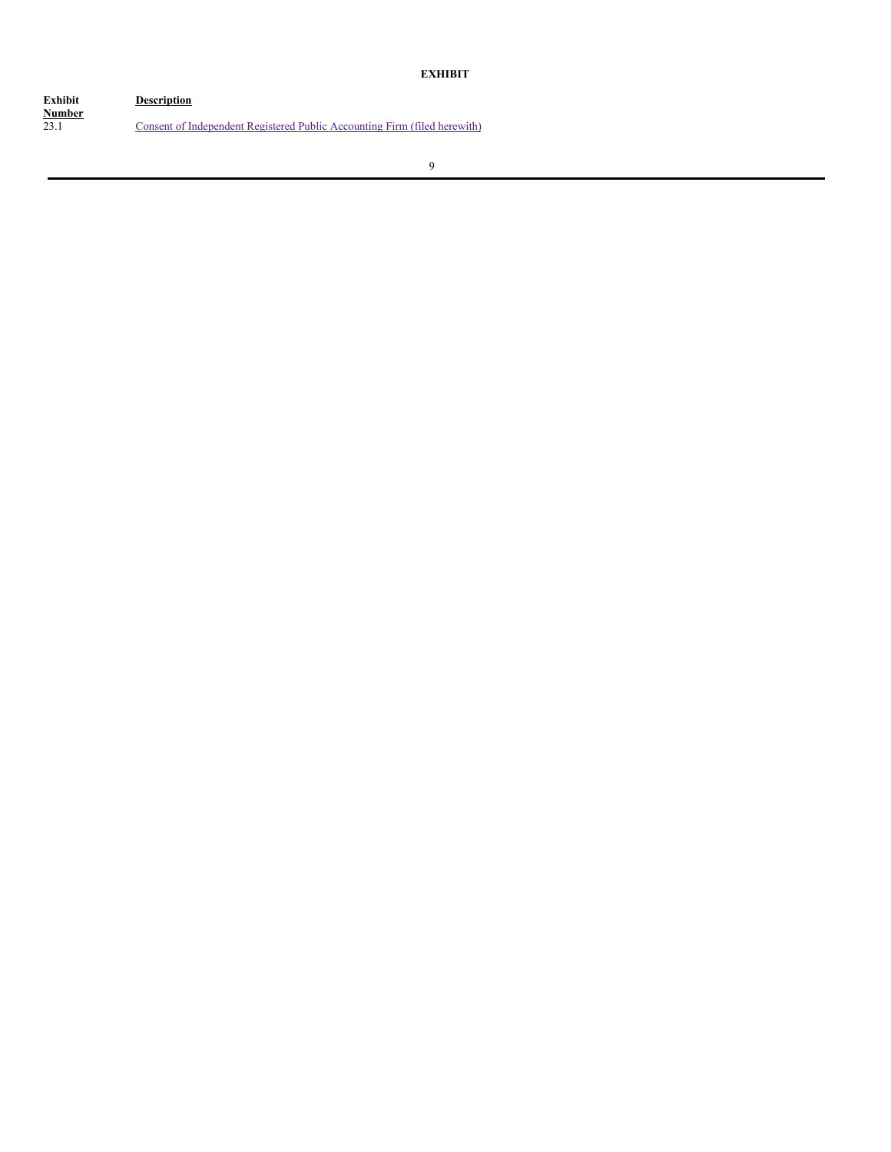**EXHIBIT**

**Exhibit Number Description** 23.1 Consent of [Independent](#page-12-0) Registered Public Accounting Firm (filed herewith)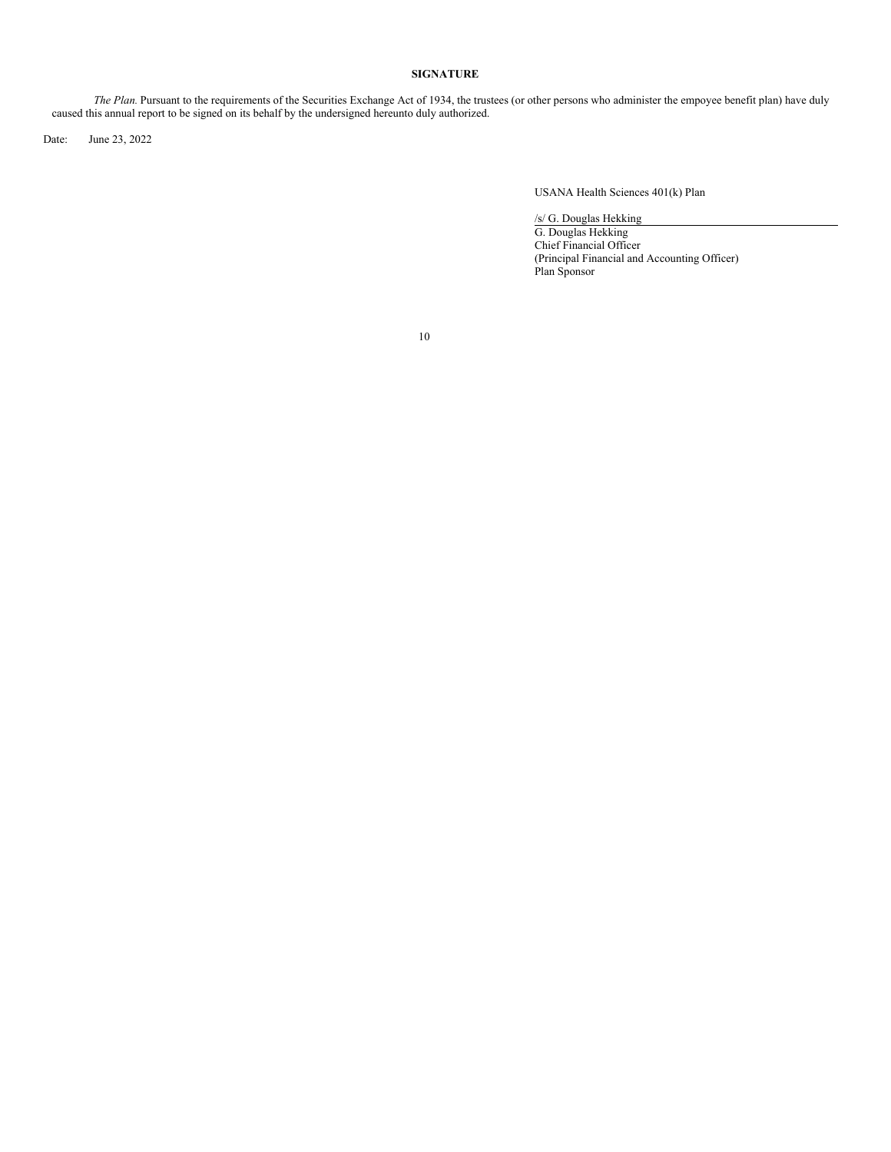# **SIGNATURE**

*The Plan.* Pursuant to the requirements of the Securities Exchange Act of 1934, the trustees (or other persons who administer the empoyee benefit plan) have duly caused this annual report to be signed on its behalf by the undersigned hereunto duly authorized.

Date: June 23, 2022

USANA Health Sciences 401(k) Plan

/s/ G. Douglas Hekking G. Douglas Hekking Chief Financial Officer (Principal Financial and Accounting Officer) Plan Sponsor